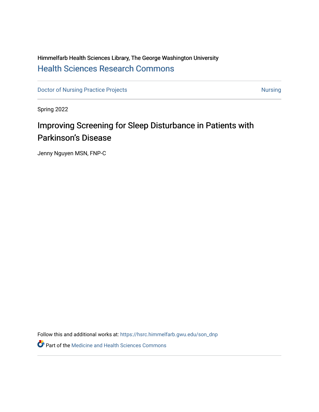## Himmelfarb Health Sciences Library, The George Washington University [Health Sciences Research Commons](https://hsrc.himmelfarb.gwu.edu/)

[Doctor of Nursing Practice Projects](https://hsrc.himmelfarb.gwu.edu/son_dnp) [Nursing](https://hsrc.himmelfarb.gwu.edu/son_nurs) Nursing Nursing

Spring 2022

# Improving Screening for Sleep Disturbance in Patients with Parkinson's Disease

Jenny Nguyen MSN, FNP-C

Follow this and additional works at: [https://hsrc.himmelfarb.gwu.edu/son\\_dnp](https://hsrc.himmelfarb.gwu.edu/son_dnp?utm_source=hsrc.himmelfarb.gwu.edu%2Fson_dnp%2F108&utm_medium=PDF&utm_campaign=PDFCoverPages)

**Part of the Medicine and Health Sciences Commons**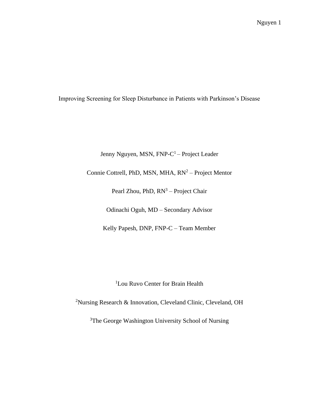Improving Screening for Sleep Disturbance in Patients with Parkinson's Disease

Jenny Nguyen, MSN, FNP-C<sup>1</sup> – Project Leader

Connie Cottrell, PhD, MSN, MHA, RN<sup>2</sup> - Project Mentor

Pearl Zhou, PhD, RN<sup>3</sup> – Project Chair

Odinachi Oguh, MD – Secondary Advisor

Kelly Papesh, DNP, FNP-C – Team Member

<sup>1</sup>Lou Ruvo Center for Brain Health

<sup>2</sup>Nursing Research & Innovation, Cleveland Clinic, Cleveland, OH

<sup>3</sup>The George Washington University School of Nursing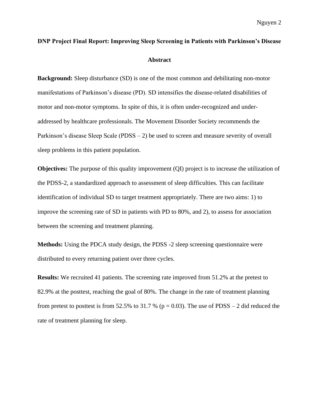# **DNP Project Final Report: Improving Sleep Screening in Patients with Parkinson's Disease Abstract**

**Background:** Sleep disturbance (SD) is one of the most common and debilitating non-motor manifestations of Parkinson's disease (PD). SD intensifies the disease-related disabilities of motor and non-motor symptoms. In spite of this, it is often under-recognized and underaddressed by healthcare professionals. The Movement Disorder Society recommends the Parkinson's disease Sleep Scale (PDSS – 2) be used to screen and measure severity of overall sleep problems in this patient population.

**Objectives:** The purpose of this quality improvement (QI) project is to increase the utilization of the PDSS-2, a standardized approach to assessment of sleep difficulties. This can facilitate identification of individual SD to target treatment appropriately. There are two aims: 1) to improve the screening rate of SD in patients with PD to 80%, and 2), to assess for association between the screening and treatment planning.

**Methods:** Using the PDCA study design, the PDSS -2 sleep screening questionnaire were distributed to every returning patient over three cycles.

**Results:** We recruited 41 patients. The screening rate improved from 51.2% at the pretest to 82.9% at the posttest, reaching the goal of 80%. The change in the rate of treatment planning from pretest to posttest is from 52.5% to 31.7 % ( $p = 0.03$ ). The use of PDSS – 2 did reduced the rate of treatment planning for sleep.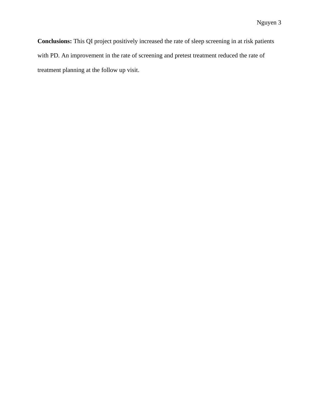**Conclusions:** This QI project positively increased the rate of sleep screening in at risk patients with PD. An improvement in the rate of screening and pretest treatment reduced the rate of treatment planning at the follow up visit.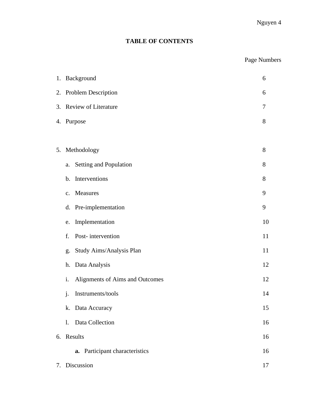### **TABLE OF CONTENTS**

### Page Numbers

| 1. Background<br>6 |                                       |    |  |  |  |  |  |
|--------------------|---------------------------------------|----|--|--|--|--|--|
|                    | 2. Problem Description<br>6           |    |  |  |  |  |  |
| 3.                 | Review of Literature                  | 7  |  |  |  |  |  |
|                    | 4. Purpose                            | 8  |  |  |  |  |  |
|                    |                                       |    |  |  |  |  |  |
| 5.                 | Methodology                           | 8  |  |  |  |  |  |
|                    | Setting and Population<br>a.          | 8  |  |  |  |  |  |
|                    | Interventions<br>$\mathbf b$ .        | 8  |  |  |  |  |  |
|                    | Measures<br>$C_{\bullet}$             | 9  |  |  |  |  |  |
|                    | Pre-implementation<br>d.              | 9  |  |  |  |  |  |
|                    | Implementation<br>e.                  | 10 |  |  |  |  |  |
|                    | Post-intervention<br>f.               | 11 |  |  |  |  |  |
|                    | Study Aims/Analysis Plan<br>g.        | 11 |  |  |  |  |  |
|                    | Data Analysis<br>h.                   | 12 |  |  |  |  |  |
|                    | i.<br>Alignments of Aims and Outcomes | 12 |  |  |  |  |  |
|                    | Instruments/tools<br>j.               | 14 |  |  |  |  |  |
|                    | k. Data Accuracy                      | 15 |  |  |  |  |  |
|                    | Data Collection<br>1.                 | 16 |  |  |  |  |  |
| 6.                 | Results                               | 16 |  |  |  |  |  |
|                    | Participant characteristics<br>a.     | 16 |  |  |  |  |  |
| 7.                 | Discussion                            | 17 |  |  |  |  |  |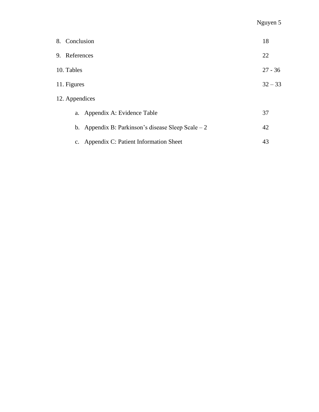| 8. Conclusion       |                                                     | 18        |  |
|---------------------|-----------------------------------------------------|-----------|--|
| 9. References<br>22 |                                                     |           |  |
| 10. Tables          |                                                     | $27 - 36$ |  |
| 11. Figures         |                                                     | $32 - 33$ |  |
| 12. Appendices      |                                                     |           |  |
|                     | a. Appendix A: Evidence Table                       | 37        |  |
|                     | b. Appendix B: Parkinson's disease Sleep Scale $-2$ | 42        |  |
|                     | c. Appendix C: Patient Information Sheet            | 43        |  |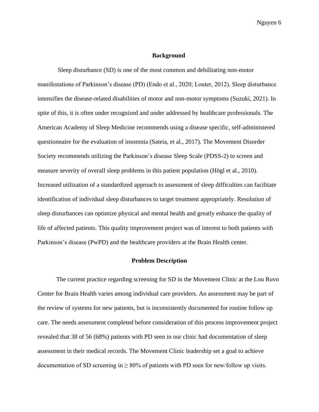#### **Background**

Sleep disturbance (SD) is one of the most common and debilitating non-motor manifestations of Parkinson's disease (PD) (Endo et al., 2020; Louter, 2012). Sleep disturbance intensifies the disease-related disabilities of motor and non-motor symptoms (Suzuki, 2021). In spite of this, it is often under recognized and under addressed by healthcare professionals. The American Academy of Sleep Medicine recommends using a disease specific, self-administered questionnaire for the evaluation of insomnia (Sateia, et al., 2017). The Movement Disorder Society recommends utilizing the Parkinson's disease Sleep Scale (PDSS-2) to screen and measure severity of overall sleep problems in this patient population (Högl et al., 2010). Increased utilization of a standardized approach to assessment of sleep difficulties can facilitate identification of individual sleep disturbances to target treatment appropriately. Resolution of sleep disturbances can optimize physical and mental health and greatly enhance the quality of life of affected patients. This quality improvement project was of interest to both patients with Parkinson's disease (PwPD) and the healthcare providers at the Brain Health center.

#### **Problem Description**

The current practice regarding screening for SD in the Movement Clinic at the Lou Ruvo Center for Brain Health varies among individual care providers. An assessment may be part of the review of systems for new patients, but is inconsistently documented for routine follow up care. The needs assessment completed before consideration of this process improvement project revealed that 38 of 56 (68%) patients with PD seen in our clinic had documentation of sleep assessment in their medical records. The Movement Clinic leadership set a goal to achieve documentation of SD screening in  $\geq 80\%$  of patients with PD seen for new/follow up visits.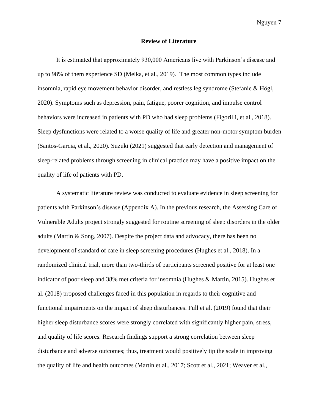#### **Review of Literature**

It is estimated that approximately 930,000 Americans live with Parkinson's disease and up to 98% of them experience SD (Melka, et al., 2019). The most common types include insomnia, rapid eye movement behavior disorder, and restless leg syndrome (Stefanie & Högl, 2020). Symptoms such as depression, pain, fatigue, poorer cognition, and impulse control behaviors were increased in patients with PD who had sleep problems (Figorilli, et al., 2018). Sleep dysfunctions were related to a worse quality of life and greater non-motor symptom burden (Santos-Garcia, et al., 2020). Suzuki (2021) suggested that early detection and management of sleep-related problems through screening in clinical practice may have a positive impact on the quality of life of patients with PD.

A systematic literature review was conducted to evaluate evidence in sleep screening for patients with Parkinson's disease (Appendix A). In the previous research, the Assessing Care of Vulnerable Adults project strongly suggested for routine screening of sleep disorders in the older adults (Martin & Song, 2007). Despite the project data and advocacy, there has been no development of standard of care in sleep screening procedures (Hughes et al., 2018). In a randomized clinical trial, more than two-thirds of participants screened positive for at least one indicator of poor sleep and 38% met criteria for insomnia (Hughes & Martin, 2015). Hughes et al. (2018) proposed challenges faced in this population in regards to their cognitive and functional impairments on the impact of sleep disturbances. Full et al. (2019) found that their higher sleep disturbance scores were strongly correlated with significantly higher pain, stress, and quality of life scores. Research findings support a strong correlation between sleep disturbance and adverse outcomes; thus, treatment would positively tip the scale in improving the quality of life and health outcomes (Martin et al., 2017; Scott et al., 2021; Weaver et al.,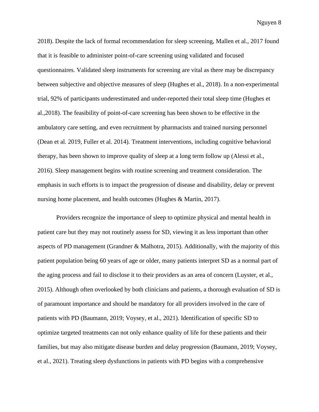2018). Despite the lack of formal recommendation for sleep screening, Mallen et al., 2017 found that it is feasible to administer point-of-care screening using validated and focused questionnaires. Validated sleep instruments for screening are vital as there may be discrepancy between subjective and objective measures of sleep (Hughes et al., 2018). In a non-experimental trial, 92% of participants underestimated and under-reported their total sleep time (Hughes et al.,2018). The feasibility of point-of-care screening has been shown to be effective in the ambulatory care setting, and even recruitment by pharmacists and trained nursing personnel (Dean et al. 2019, Fuller et al. 2014). Treatment interventions, including cognitive behavioral therapy, has been shown to improve quality of sleep at a long term follow up (Alessi et al., 2016). Sleep management begins with routine screening and treatment consideration. The emphasis in such efforts is to impact the progression of disease and disability, delay or prevent nursing home placement, and health outcomes (Hughes & Martin, 2017).

Providers recognize the importance of sleep to optimize physical and mental health in patient care but they may not routinely assess for SD, viewing it as less important than other aspects of PD management (Grandner & Malhotra, 2015). Additionally, with the majority of this patient population being 60 years of age or older, many patients interpret SD as a normal part of the aging process and fail to disclose it to their providers as an area of concern (Luyster, et al., 2015). Although often overlooked by both clinicians and patients, a thorough evaluation of SD is of paramount importance and should be mandatory for all providers involved in the care of patients with PD (Baumann, 2019; Voysey, et al., 2021). Identification of specific SD to optimize targeted treatments can not only enhance quality of life for these patients and their families, but may also mitigate disease burden and delay progression (Baumann, 2019; Voysey, et al., 2021). Treating sleep dysfunctions in patients with PD begins with a comprehensive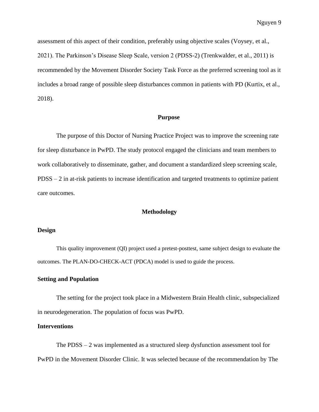assessment of this aspect of their condition, preferably using objective scales (Voysey, et al., 2021). The Parkinson's Disease Sleep Scale, version 2 (PDSS-2) (Trenkwalder, et al., 2011) is recommended by the Movement Disorder Society Task Force as the preferred screening tool as it includes a broad range of possible sleep disturbances common in patients with PD (Kurtix, et al., 2018).

#### **Purpose**

The purpose of this Doctor of Nursing Practice Project was to improve the screening rate for sleep disturbance in PwPD. The study protocol engaged the clinicians and team members to work collaboratively to disseminate, gather, and document a standardized sleep screening scale, PDSS – 2 in at-risk patients to increase identification and targeted treatments to optimize patient care outcomes.

#### **Methodology**

#### **Design**

This quality improvement (QI) project used a pretest-posttest, same subject design to evaluate the outcomes. The PLAN-DO-CHECK-ACT (PDCA) model is used to guide the process.

#### **Setting and Population**

The setting for the project took place in a Midwestern Brain Health clinic, subspecialized in neurodegeneration. The population of focus was PwPD.

#### **Interventions**

The  $PDSS - 2$  was implemented as a structured sleep dysfunction assessment tool for PwPD in the Movement Disorder Clinic. It was selected because of the recommendation by The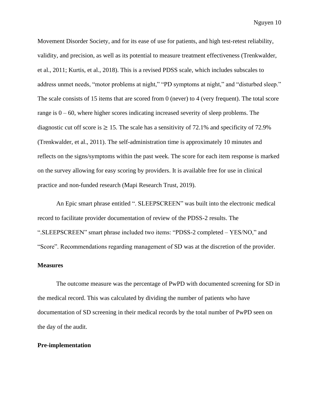Movement Disorder Society, and for its ease of use for patients, and high test-retest reliability, validity, and precision, as well as its potential to measure treatment effectiveness (Trenkwalder, et al., 2011; Kurtis, et al., 2018). This is a revised PDSS scale, which includes subscales to address unmet needs, "motor problems at night," "PD symptoms at night," and "disturbed sleep." The scale consists of 15 items that are scored from 0 (never) to 4 (very frequent). The total score range is  $0 - 60$ , where higher scores indicating increased severity of sleep problems. The diagnostic cut off score is  $\geq 15$ . The scale has a sensitivity of 72.1% and specificity of 72.9% (Trenkwalder, et al., 2011). The self-administration time is approximately 10 minutes and reflects on the signs/symptoms within the past week. The score for each item response is marked on the survey allowing for easy scoring by providers. It is available free for use in clinical practice and non-funded research (Mapi Research Trust, 2019).

An Epic smart phrase entitled ". SLEEPSCREEN" was built into the electronic medical record to facilitate provider documentation of review of the PDSS-2 results. The ".SLEEPSCREEN" smart phrase included two items: "PDSS-2 completed – YES/NO," and "Score". Recommendations regarding management of SD was at the discretion of the provider.

#### **Measures**

The outcome measure was the percentage of PwPD with documented screening for SD in the medical record. This was calculated by dividing the number of patients who have documentation of SD screening in their medical records by the total number of PwPD seen on the day of the audit.

#### **Pre-implementation**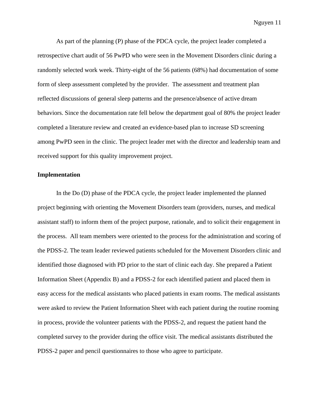As part of the planning (P) phase of the PDCA cycle, the project leader completed a retrospective chart audit of 56 PwPD who were seen in the Movement Disorders clinic during a randomly selected work week. Thirty-eight of the 56 patients (68%) had documentation of some form of sleep assessment completed by the provider. The assessment and treatment plan reflected discussions of general sleep patterns and the presence/absence of active dream behaviors. Since the documentation rate fell below the department goal of 80% the project leader completed a literature review and created an evidence-based plan to increase SD screening among PwPD seen in the clinic. The project leader met with the director and leadership team and received support for this quality improvement project.

#### **Implementation**

In the Do (D) phase of the PDCA cycle, the project leader implemented the planned project beginning with orienting the Movement Disorders team (providers, nurses, and medical assistant staff) to inform them of the project purpose, rationale, and to solicit their engagement in the process. All team members were oriented to the process for the administration and scoring of the PDSS-2. The team leader reviewed patients scheduled for the Movement Disorders clinic and identified those diagnosed with PD prior to the start of clinic each day. She prepared a Patient Information Sheet (Appendix B) and a PDSS-2 for each identified patient and placed them in easy access for the medical assistants who placed patients in exam rooms. The medical assistants were asked to review the Patient Information Sheet with each patient during the routine rooming in process, provide the volunteer patients with the PDSS-2, and request the patient hand the completed survey to the provider during the office visit. The medical assistants distributed the PDSS-2 paper and pencil questionnaires to those who agree to participate.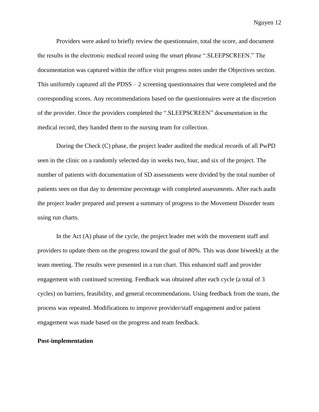Providers were asked to briefly review the questionnaire, total the score, and document the results in the electronic medical record using the smart phrase ".SLEEPSCREEN." The documentation was captured within the office visit progress notes under the Objectives section. This uniformly captured all the  $PDSS - 2$  screening questionnaires that were completed and the corresponding scores. Any recommendations based on the questionnaires were at the discretion of the provider. Once the providers completed the ".SLEEPSCREEN" documentation in the medical record, they handed them to the nursing team for collection.

During the Check (C) phase, the project leader audited the medical records of all PwPD seen in the clinic on a randomly selected day in weeks two, four, and six of the project. The number of patients with documentation of SD assessments were divided by the total number of patients seen on that day to determine percentage with completed assessments. After each audit the project leader prepared and present a summary of progress to the Movement Disorder team using run charts.

In the Act (A) phase of the cycle, the project leader met with the movement staff and providers to update them on the progress toward the goal of 80%. This was done biweekly at the team meeting. The results were presented in a run chart. This enhanced staff and provider engagement with continued screening. Feedback was obtained after each cycle (a total of 3 cycles) on barriers, feasibility, and general recommendations. Using feedback from the team, the process was repeated. Modifications to improve provider/staff engagement and/or patient engagement was made based on the progress and team feedback.

#### **Post-implementation**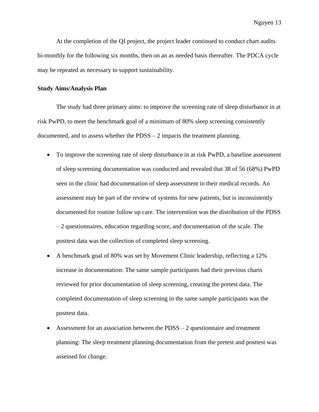At the completion of the QI project, the project leader continued to conduct chart audits bi-monthly for the following six months, then on an as needed basis thereafter. The PDCA cycle may be repeated as necessary to support sustainability.

#### **Study Aims/Analysis Plan**

The study had three primary aims: to improve the screening rate of sleep disturbance in at risk PwPD, to meet the benchmark goal of a minimum of 80% sleep screening consistently documented, and to assess whether the PDSS – 2 impacts the treatment planning.

- To improve the screening rate of sleep disturbance in at risk PwPD, a baseline assessment of sleep screening documentation was conducted and revealed that 38 of 56 (68%) PwPD seen in the clinic had documentation of sleep assessment in their medical records. An assessment may be part of the review of systems for new patients, but is inconsistently documented for routine follow up care. The intervention was the distribution of the PDSS – 2 questionnaires, education regarding score, and documentation of the scale. The posttest data was the collection of completed sleep screening.
- A benchmark goal of 80% was set by Movement Clinic leadership, reflecting a 12% increase in documentation: The same sample participants had their previous charts reviewed for prior documentation of sleep screening, creating the pretest data. The completed documentation of sleep screening in the same sample participants was the posttest data.
- Assessment for an association between the  $PDSS 2$  questionnaire and treatment planning: The sleep treatment planning documentation from the pretest and posttest was assessed for change.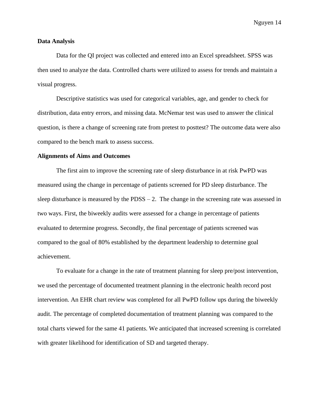#### **Data Analysis**

Data for the QI project was collected and entered into an Excel spreadsheet. SPSS was then used to analyze the data. Controlled charts were utilized to assess for trends and maintain a visual progress.

Descriptive statistics was used for categorical variables, age, and gender to check for distribution, data entry errors, and missing data. McNemar test was used to answer the clinical question, is there a change of screening rate from pretest to posttest? The outcome data were also compared to the bench mark to assess success.

#### **Alignments of Aims and Outcomes**

The first aim to improve the screening rate of sleep disturbance in at risk PwPD was measured using the change in percentage of patients screened for PD sleep disturbance. The sleep disturbance is measured by the  $PDSS - 2$ . The change in the screening rate was assessed in two ways. First, the biweekly audits were assessed for a change in percentage of patients evaluated to determine progress. Secondly, the final percentage of patients screened was compared to the goal of 80% established by the department leadership to determine goal achievement.

To evaluate for a change in the rate of treatment planning for sleep pre/post intervention, we used the percentage of documented treatment planning in the electronic health record post intervention. An EHR chart review was completed for all PwPD follow ups during the biweekly audit. The percentage of completed documentation of treatment planning was compared to the total charts viewed for the same 41 patients. We anticipated that increased screening is correlated with greater likelihood for identification of SD and targeted therapy.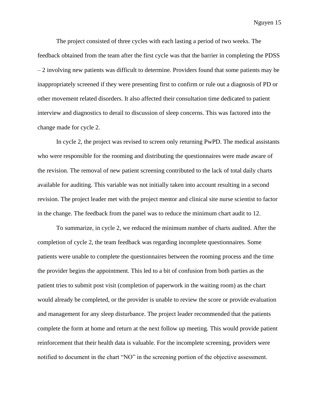The project consisted of three cycles with each lasting a period of two weeks. The feedback obtained from the team after the first cycle was that the barrier in completing the PDSS  $-2$  involving new patients was difficult to determine. Providers found that some patients may be inappropriately screened if they were presenting first to confirm or rule out a diagnosis of PD or other movement related disorders. It also affected their consultation time dedicated to patient interview and diagnostics to derail to discussion of sleep concerns. This was factored into the change made for cycle 2.

In cycle 2, the project was revised to screen only returning PwPD. The medical assistants who were responsible for the rooming and distributing the questionnaires were made aware of the revision. The removal of new patient screening contributed to the lack of total daily charts available for auditing. This variable was not initially taken into account resulting in a second revision. The project leader met with the project mentor and clinical site nurse scientist to factor in the change. The feedback from the panel was to reduce the minimum chart audit to 12.

To summarize, in cycle 2, we reduced the minimum number of charts audited. After the completion of cycle 2, the team feedback was regarding incomplete questionnaires. Some patients were unable to complete the questionnaires between the rooming process and the time the provider begins the appointment. This led to a bit of confusion from both parties as the patient tries to submit post visit (completion of paperwork in the waiting room) as the chart would already be completed, or the provider is unable to review the score or provide evaluation and management for any sleep disturbance. The project leader recommended that the patients complete the form at home and return at the next follow up meeting. This would provide patient reinforcement that their health data is valuable. For the incomplete screening, providers were notified to document in the chart "NO" in the screening portion of the objective assessment.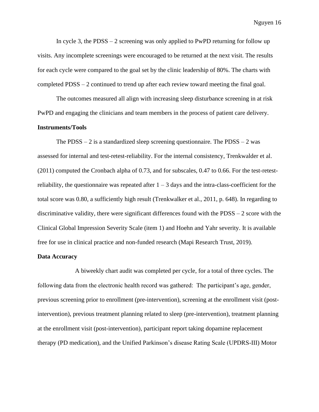In cycle 3, the  $PDSS - 2$  screening was only applied to PwPD returning for follow up visits. Any incomplete screenings were encouraged to be returned at the next visit. The results for each cycle were compared to the goal set by the clinic leadership of 80%. The charts with completed PDSS – 2 continued to trend up after each review toward meeting the final goal.

The outcomes measured all align with increasing sleep disturbance screening in at risk PwPD and engaging the clinicians and team members in the process of patient care delivery.

#### **Instruments/Tools**

The PDSS  $-2$  is a standardized sleep screening questionnaire. The PDSS  $-2$  was assessed for internal and test-retest-reliability. For the internal consistency, Trenkwalder et al. (2011) computed the Cronbach alpha of 0.73, and for subscales, 0.47 to 0.66. For the test-retestreliability, the questionnaire was repeated after  $1 - 3$  days and the intra-class-coefficient for the total score was 0.80, a sufficiently high result (Trenkwalker et al., 2011, p. 648). In regarding to discriminative validity, there were significant differences found with the PDSS – 2 score with the Clinical Global Impression Severity Scale (item 1) and Hoehn and Yahr severity. It is available free for use in clinical practice and non-funded research (Mapi Research Trust, 2019).

#### **Data Accuracy**

A biweekly chart audit was completed per cycle, for a total of three cycles. The following data from the electronic health record was gathered: The participant's age, gender, previous screening prior to enrollment (pre-intervention), screening at the enrollment visit (postintervention), previous treatment planning related to sleep (pre-intervention), treatment planning at the enrollment visit (post-intervention), participant report taking dopamine replacement therapy (PD medication), and the Unified Parkinson's disease Rating Scale (UPDRS-III) Motor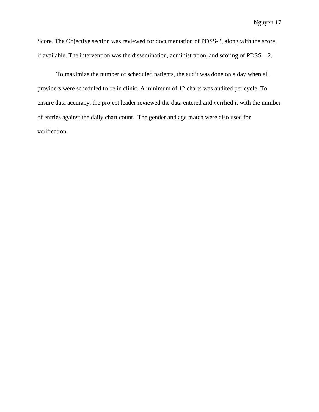Score. The Objective section was reviewed for documentation of PDSS-2, along with the score, if available. The intervention was the dissemination, administration, and scoring of PDSS – 2.

To maximize the number of scheduled patients, the audit was done on a day when all providers were scheduled to be in clinic. A minimum of 12 charts was audited per cycle. To ensure data accuracy, the project leader reviewed the data entered and verified it with the number of entries against the daily chart count. The gender and age match were also used for verification.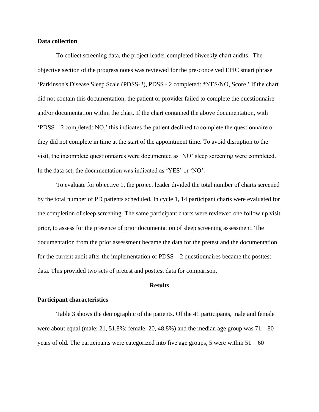#### **Data collection**

To collect screening data, the project leader completed biweekly chart audits. The objective section of the progress notes was reviewed for the pre-conceived EPIC smart phrase 'Parkinson's Disease Sleep Scale (PDSS-2), PDSS - 2 completed: \*YES/NO, Score.' If the chart did not contain this documentation, the patient or provider failed to complete the questionnaire and/or documentation within the chart. If the chart contained the above documentation, with 'PDSS – 2 completed: NO,' this indicates the patient declined to complete the questionnaire or they did not complete in time at the start of the appointment time. To avoid disruption to the visit, the incomplete questionnaires were documented as 'NO' sleep screening were completed. In the data set, the documentation was indicated as 'YES' or 'NO'.

To evaluate for objective 1, the project leader divided the total number of charts screened by the total number of PD patients scheduled. In cycle 1, 14 participant charts were evaluated for the completion of sleep screening. The same participant charts were reviewed one follow up visit prior, to assess for the presence of prior documentation of sleep screening assessment. The documentation from the prior assessment became the data for the pretest and the documentation for the current audit after the implementation of  $\text{PDSS} - 2$  questionnaires became the posttest data. This provided two sets of pretest and posttest data for comparison.

#### **Results**

#### **Participant characteristics**

Table 3 shows the demographic of the patients. Of the 41 participants, male and female were about equal (male:  $21, 51.8\%$ ; female:  $20, 48.8\%$ ) and the median age group was  $71 - 80$ years of old. The participants were categorized into five age groups, 5 were within  $51 - 60$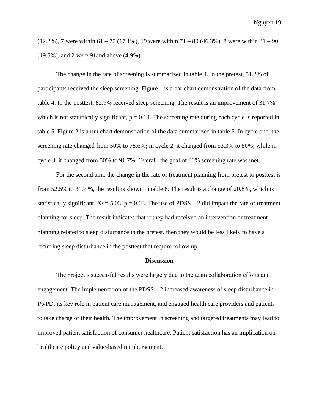$(12.2\%)$ , 7 were within 61 – 70 (17.1%), 19 were within 71 – 80 (46.3%), 8 were within 81 – 90 (19.5%), and 2 were 91and above (4.9%).

The change in the rate of screening is summarized in table 4. In the pretest, 51.2% of participants received the sleep screening. Figure 1 is a bar chart demonstration of the data from table 4. In the posttest, 82.9% received sleep screening. The result is an improvement of 31.7%, which is not statistically significant,  $p = 0.14$ . The screening rate during each cycle is reported in table 5. Figure 2 is a run chart demonstration of the data summarized in table 5. In cycle one, the screening rate changed from 50% to 78.6%; in cycle 2, it changed from 53.3% to 80%; while in cycle 3, it changed from 50% to 91.7%. Overall, the goal of 80% screening rate was met.

For the second aim, the change in the rate of treatment planning from pretest to posttest is from 52.5% to 31.7 %, the result is shown in table 6. The result is a change of 20.8%, which is statistically significant,  $X^2 = 5.03$ ,  $p = 0.03$ . The use of PDSS – 2 did impact the rate of treatment planning for sleep. The result indicates that if they had received an intervention or treatment planning related to sleep disturbance in the pretest, then they would be less likely to have a recurring sleep disturbance in the posttest that require follow up.

#### **Discussion**

The project's successful results were largely due to the team collaboration efforts and engagement. The implementation of the  $PDSS - 2$  increased awareness of sleep disturbance in PwPD, its key role in patient care management, and engaged health care providers and patients to take charge of their health. The improvement in screening and targeted treatments may lead to improved patient satisfaction of consumer healthcare. Patient satisfaction has an implication on healthcare policy and value-based reimbursement.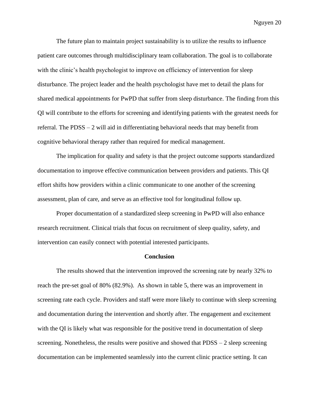The future plan to maintain project sustainability is to utilize the results to influence patient care outcomes through multidisciplinary team collaboration. The goal is to collaborate with the clinic's health psychologist to improve on efficiency of intervention for sleep disturbance. The project leader and the health psychologist have met to detail the plans for shared medical appointments for PwPD that suffer from sleep disturbance. The finding from this QI will contribute to the efforts for screening and identifying patients with the greatest needs for referral. The PDSS – 2 will aid in differentiating behavioral needs that may benefit from cognitive behavioral therapy rather than required for medical management.

The implication for quality and safety is that the project outcome supports standardized documentation to improve effective communication between providers and patients. This QI effort shifts how providers within a clinic communicate to one another of the screening assessment, plan of care, and serve as an effective tool for longitudinal follow up.

Proper documentation of a standardized sleep screening in PwPD will also enhance research recruitment. Clinical trials that focus on recruitment of sleep quality, safety, and intervention can easily connect with potential interested participants.

#### **Conclusion**

The results showed that the intervention improved the screening rate by nearly 32% to reach the pre-set goal of 80% (82.9%). As shown in table 5, there was an improvement in screening rate each cycle. Providers and staff were more likely to continue with sleep screening and documentation during the intervention and shortly after. The engagement and excitement with the QI is likely what was responsible for the positive trend in documentation of sleep screening. Nonetheless, the results were positive and showed that PDSS – 2 sleep screening documentation can be implemented seamlessly into the current clinic practice setting. It can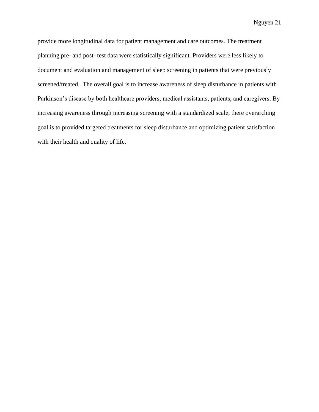provide more longitudinal data for patient management and care outcomes. The treatment planning pre- and post- test data were statistically significant. Providers were less likely to document and evaluation and management of sleep screening in patients that were previously screened/treated. The overall goal is to increase awareness of sleep disturbance in patients with Parkinson's disease by both healthcare providers, medical assistants, patients, and caregivers. By increasing awareness through increasing screening with a standardized scale, there overarching goal is to provided targeted treatments for sleep disturbance and optimizing patient satisfaction with their health and quality of life.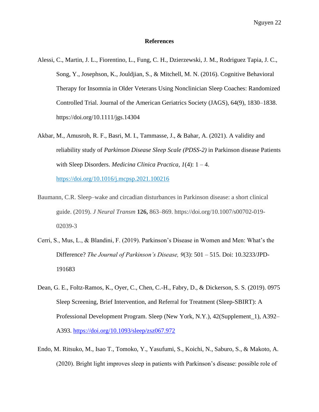#### **References**

- Alessi, C., Martin, J. L., Fiorentino, L., Fung, C. H., Dzierzewski, J. M., Rodriguez Tapia, J. C., Song, Y., Josephson, K., Jouldjian, S., & Mitchell, M. N. (2016). Cognitive Behavioral Therapy for Insomnia in Older Veterans Using Nonclinician Sleep Coaches: Randomized Controlled Trial. Journal of the American Geriatrics Society (JAGS), 64(9), 1830–1838. https://doi.org/10.1111/jgs.14304
- Akbar, M., Amusroh, R. F., Basri, M. I., Tammasse, J., & Bahar, A. (2021). A validity and reliability study of *Parkinson Disease Sleep Scale (PDSS-2)* in Parkinson disease Patients with Sleep Disorders. *Medicina Clinica Practica, 1*(4): 1 – 4. <https://doi.org/10.1016/j.mcpsp.2021.100216>
- Baumann, C.R. Sleep–wake and circadian disturbances in Parkinson disease: a short clinical guide. (2019). *J Neural Transm* **126,** 863–869. https://doi.org/10.1007/s00702-019- 02039-3
- Cerri, S., Mus, L., & Blandini, F. (2019). Parkinson's Disease in Women and Men: What's the Difference? *The Journal of Parkinson's Disease, 9*(3): 501 – 515. Doi: 10.3233/JPD-191683
- Dean, G. E., Foltz-Ramos, K., Oyer, C., Chen, C.-H., Fabry, D., & Dickerson, S. S. (2019). 0975 Sleep Screening, Brief Intervention, and Referral for Treatment (Sleep-SBIRT): A Professional Development Program. Sleep (New York, N.Y.), 42(Supplement\_1), A392– A393.<https://doi.org/10.1093/sleep/zsz067.972>
- Endo, M. Ritsuko, M., Isao T., Tomoko, Y., Yasufumi, S., Koichi, N., Saburo, S., & Makoto, A. (2020). Bright light improves sleep in patients with Parkinson's disease: possible role of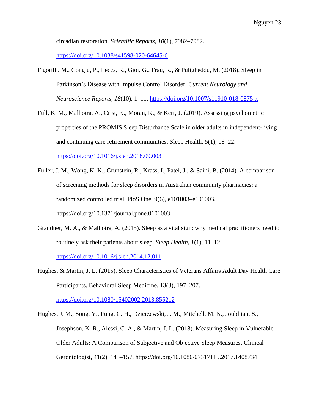circadian restoration. *Scientific Reports, 10*(1), 7982–7982.

<https://doi.org/10.1038/s41598-020-64645-6>

- Figorilli, M., Congiu, P., Lecca, R., Gioi, G., Frau, R., & Puligheddu, M. (2018). Sleep in Parkinson's Disease with Impulse Control Disorder. *Current Neurology and Neuroscience Reports, 18*(10), 1–11.<https://doi.org/10.1007/s11910-018-0875-x>
- Full, K. M., Malhotra, A., Crist, K., Moran, K., & Kerr, J. (2019). Assessing psychometric properties of the PROMIS Sleep Disturbance Scale in older adults in independent-living and continuing care retirement communities. Sleep Health, 5(1), 18–22. <https://doi.org/10.1016/j.sleh.2018.09.003>
- Fuller, J. M., Wong, K. K., Grunstein, R., Krass, I., Patel, J., & Saini, B. (2014). A comparison of screening methods for sleep disorders in Australian community pharmacies: a randomized controlled trial. PloS One, 9(6), e101003–e101003. https://doi.org/10.1371/journal.pone.0101003
- Grandner, M. A., & Malhotra, A. (2015). Sleep as a vital sign: why medical practitioners need to routinely ask their patients about sleep. *Sleep Health, 1*(1), 11–12.

<https://doi.org/10.1016/j.sleh.2014.12.011>

Hughes, & Martin, J. L. (2015). Sleep Characteristics of Veterans Affairs Adult Day Health Care Participants. Behavioral Sleep Medicine, 13(3), 197–207.

<https://doi.org/10.1080/15402002.2013.855212>

Hughes, J. M., Song, Y., Fung, C. H., Dzierzewski, J. M., Mitchell, M. N., Jouldjian, S., Josephson, K. R., Alessi, C. A., & Martin, J. L. (2018). Measuring Sleep in Vulnerable Older Adults: A Comparison of Subjective and Objective Sleep Measures. Clinical Gerontologist, 41(2), 145–157. https://doi.org/10.1080/07317115.2017.1408734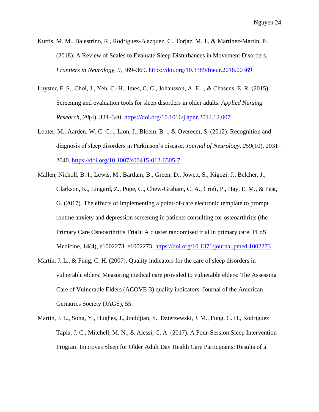Kurtis, M. M., Balestrino, R., Rodriguez-Blazquez, C., Forjaz, M. J., & Martinez-Martin, P. (2018). A Review of Scales to Evaluate Sleep Disturbances in Movement Disorders. *Frontiers in Neurology, 9,* 369–369.<https://doi.org/10.3389/fneur.2018.00369>

- Luyster, F. S., Choi, J., Yeh, C.-H., Imes, C. C., Johansson, A. E. ., & Chasens, E. R. (2015). Screening and evaluation tools for sleep disorders in older adults. *Applied Nursing Research, 28*(4), 334–340.<https://doi.org/10.1016/j.apnr.2014.12.007>
- Louter, M., Aarden, W. C. C. ., Lion, J., Bloem, B. ., & Overeem, S. (2012). Recognition and diagnosis of sleep disorders in Parkinson's disease. *Journal of Neurology, 259*(10), 2031– 2040.<https://doi.org/10.1007/s00415-012-6505-7>
- Mallen, Nicholl, B. I., Lewis, M., Bartlam, B., Green, D., Jowett, S., Kigozi, J., Belcher, J., Clarkson, K., Lingard, Z., Pope, C., Chew-Graham, C. A., Croft, P., Hay, E. M., & Peat, G. (2017). The effects of implementing a point-of-care electronic template to prompt routine anxiety and depression screening in patients consulting for osteoarthritis (the Primary Care Osteoarthritis Trial): A cluster randomised trial in primary care. PLoS Medicine, 14(4), e1002273–e1002273.<https://doi.org/10.1371/journal.pmed.1002273>
- Martin, J. L., & Fung, C. H. (2007). Quality indicators for the care of sleep disorders in vulnerable elders: Measuring medical care provided to vulnerable elders: The Assessing Care of Vulnerable Elders (ACOVE-3) quality indicators. Journal of the American Geriatrics Society (JAGS), 55.
- Martin, J. L., Song, Y., Hughes, J., Jouldjian, S., Dzierzewski, J. M., Fung, C. H., Rodriguez Tapia, J. C., Mitchell, M. N., & Alessi, C. A. (2017). A Four-Session Sleep Intervention Program Improves Sleep for Older Adult Day Health Care Participants: Results of a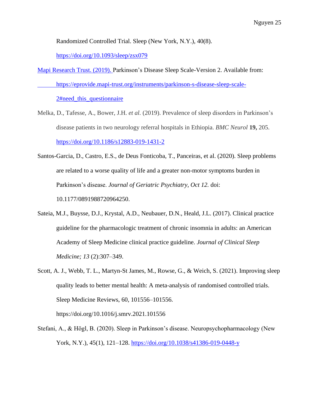Randomized Controlled Trial. Sleep (New York, N.Y.), 40(8).

<https://doi.org/10.1093/sleep/zsx079>

Mapi Research Trust. (2019). Parkinson's Disease Sleep Scale-Version 2. Available from: https://eprovide.mapi-trust.org/instruments/parkinson-s-disease-sleep-scale-

2#need this questionnaire

- Melka, D., Tafesse, A., Bower, J.H. *et al.* (2019). Prevalence of sleep disorders in Parkinson's disease patients in two neurology referral hospitals in Ethiopia. *BMC Neurol* **19,** 205. <https://doi.org/10.1186/s12883-019-1431-2>
- Santos-Garcia, D., Castro, E.S., de Deus Fonticoba, T., Panceiras, et al. (2020). Sleep problems are related to a worse quality of life and a greater non-motor symptoms burden in Parkinson's disease. *Journal of Geriatric Psychiatry, Oct 12.* doi: 10.1177/0891988720964250.
- Sateia, M.J., Buysse, D.J., Krystal, A.D., Neubauer, D.N., Heald, J.L. (2017). Clinical practice guideline for the pharmacologic treatment of chronic insomnia in adults: an American Academy of Sleep Medicine clinical practice guideline. *Journal of Clinical Sleep Medicine; 13* (2):307–349.
- Scott, A. J., Webb, T. L., Martyn-St James, M., Rowse, G., & Weich, S. (2021). Improving sleep quality leads to better mental health: A meta-analysis of randomised controlled trials. Sleep Medicine Reviews, 60, 101556–101556. https://doi.org/10.1016/j.smrv.2021.101556
- Stefani, A., & Högl, B. (2020). Sleep in Parkinson's disease. Neuropsychopharmacology (New York, N.Y.), 45(1), 121–128.<https://doi.org/10.1038/s41386-019-0448-y>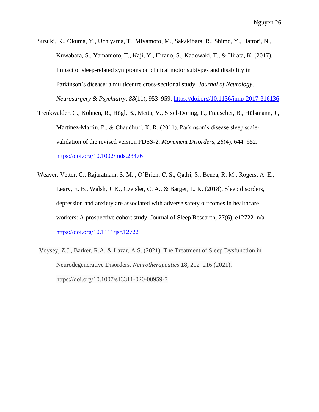Suzuki, K., Okuma, Y., Uchiyama, T., Miyamoto, M., Sakakibara, R., Shimo, Y., Hattori, N., Kuwabara, S., Yamamoto, T., Kaji, Y., Hirano, S., Kadowaki, T., & Hirata, K. (2017). Impact of sleep-related symptoms on clinical motor subtypes and disability in Parkinson's disease: a multicentre cross-sectional study. *Journal of Neurology, Neurosurgery & Psychiatry, 88*(11), 953–959.<https://doi.org/10.1136/jnnp-2017-316136>

- Trenkwalder, C., Kohnen, R., Högl, B., Metta, V., Sixel-Döring, F., Frauscher, B., Hülsmann, J., Martinez-Martin, P., & Chaudhuri, K. R. (2011). Parkinson's disease sleep scalevalidation of the revised version PDSS-2. *Movement Disorders, 26*(4), 644–652. <https://doi.org/10.1002/mds.23476>
- Weaver, Vetter, C., Rajaratnam, S. M.., O'Brien, C. S., Qadri, S., Benca, R. M., Rogers, A. E., Leary, E. B., Walsh, J. K., Czeisler, C. A., & Barger, L. K. (2018). Sleep disorders, depression and anxiety are associated with adverse safety outcomes in healthcare workers: A prospective cohort study. Journal of Sleep Research, 27(6), e12722–n/a. <https://doi.org/10.1111/jsr.12722>
- Voysey, Z.J., Barker, R.A. & Lazar, A.S. (2021). The Treatment of Sleep Dysfunction in Neurodegenerative Disorders. *Neurotherapeutics* **18,** 202–216 (2021). https://doi.org/10.1007/s13311-020-00959-7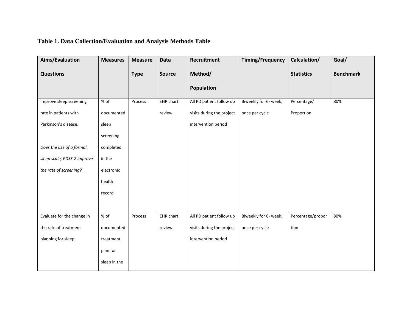# **Table 1. Data Collection/Evaluation and Analysis Methods Table**

| Aims/Evaluation             | <b>Measures</b> | <b>Measure</b> | Data          | <b>Recruitment</b>        | <b>Timing/Frequency</b> | Calculation/      | Goal/            |
|-----------------------------|-----------------|----------------|---------------|---------------------------|-------------------------|-------------------|------------------|
| <b>Questions</b>            |                 | <b>Type</b>    | <b>Source</b> | Method/                   |                         | <b>Statistics</b> | <b>Benchmark</b> |
|                             |                 |                |               | <b>Population</b>         |                         |                   |                  |
| Improve sleep screening     | % of            | Process        | EHR chart     | All PD patient follow up  | Biweekly for 6- week;   | Percentage/       | 80%              |
| rate in patients with       | documented      |                | review        | visits during the project | once per cycle          | Proportion        |                  |
| Parkinson's disease.        | sleep           |                |               | intervention period       |                         |                   |                  |
|                             | screening       |                |               |                           |                         |                   |                  |
| Does the use of a formal    | completed       |                |               |                           |                         |                   |                  |
| sleep scale, PDSS-2 improve | in the          |                |               |                           |                         |                   |                  |
| the rate of screening?      | electronic      |                |               |                           |                         |                   |                  |
|                             | health          |                |               |                           |                         |                   |                  |
|                             | record          |                |               |                           |                         |                   |                  |
|                             |                 |                |               |                           |                         |                   |                  |
| Evaluate for the change in  | $%$ of          | Process        | EHR chart     | All PD patient follow up  | Biweekly for 6- week;   | Percentage/propor | 80%              |
| the rate of treatment       | documented      |                | review        | visits during the project | once per cycle          | tion              |                  |
| planning for sleep.         | treatment       |                |               | intervention period       |                         |                   |                  |
|                             | plan for        |                |               |                           |                         |                   |                  |
|                             | sleep in the    |                |               |                           |                         |                   |                  |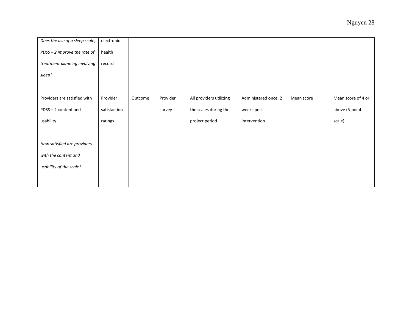| Does the use of a sleep scale, | electronic   |         |          |                         |                      |            |                    |
|--------------------------------|--------------|---------|----------|-------------------------|----------------------|------------|--------------------|
| PDSS - 2 improve the rate of   | health       |         |          |                         |                      |            |                    |
| treatment planning involving   | record       |         |          |                         |                      |            |                    |
| sleep?                         |              |         |          |                         |                      |            |                    |
|                                |              |         |          |                         |                      |            |                    |
|                                |              |         |          |                         |                      |            |                    |
| Providers are satisfied with   | Provider     | Outcome | Provider | All providers utilizing | Administered once, 2 | Mean score | Mean score of 4 or |
| PDSS-2 content and             | satisfaction |         | survey   | the scales during the   | weeks post-          |            | above (5-point     |
|                                |              |         |          |                         |                      |            |                    |
| usability.                     | ratings      |         |          | project period          | intervention         |            | scale)             |
|                                |              |         |          |                         |                      |            |                    |
| How satisfied are providers    |              |         |          |                         |                      |            |                    |
| with the content and           |              |         |          |                         |                      |            |                    |
| usability of the scale?        |              |         |          |                         |                      |            |                    |
|                                |              |         |          |                         |                      |            |                    |
|                                |              |         |          |                         |                      |            |                    |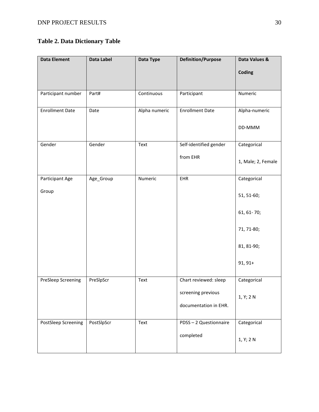### **Table 2. Data Dictionary Table**

| <b>Data Element</b>    | <b>Data Label</b> | Data Type     | <b>Definition/Purpose</b> | Data Values &      |
|------------------------|-------------------|---------------|---------------------------|--------------------|
|                        |                   |               |                           | Coding             |
| Participant number     | Part#             | Continuous    | Participant               | Numeric            |
| <b>Enrollment Date</b> | Date              | Alpha numeric | <b>Enrollment Date</b>    | Alpha-numeric      |
|                        |                   |               |                           | DD-MMM             |
| Gender                 | Gender            | Text          | Self-identified gender    | Categorical        |
|                        |                   |               | from EHR                  | 1, Male; 2, Female |
| Participant Age        | Age_Group         | Numeric       | EHR                       | Categorical        |
| Group                  |                   |               |                           | 51, 51-60;         |
|                        |                   |               |                           | 61, 61-70;         |
|                        |                   |               |                           | 71, 71-80;         |
|                        |                   |               |                           | 81, 81-90;         |
|                        |                   |               |                           | $91, 91+$          |
| PreSleep Screening     | PreSlpScr         | Text          | Chart reviewed: sleep     | Categorical        |
|                        |                   |               | screening previous        | 1, Y; 2 N          |
|                        |                   |               | documentation in EHR.     |                    |
| PostSleep Screening    | PostSlpScr        | Text          | PDSS-2 Questionnaire      | Categorical        |
|                        |                   |               | completed                 | 1, Y; 2 N          |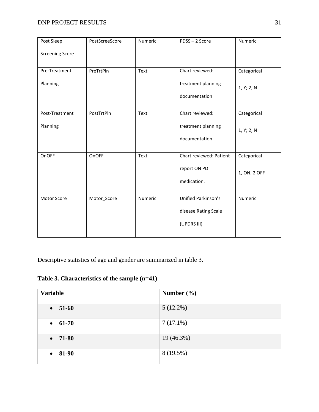| Post Sleep             | PostScreeScore | Numeric | PDSS-2 Score            | Numeric      |
|------------------------|----------------|---------|-------------------------|--------------|
| <b>Screening Score</b> |                |         |                         |              |
| Pre-Treatment          | PreTrtPln      | Text    | Chart reviewed:         | Categorical  |
| Planning               |                |         | treatment planning      | 1, Y; 2, N   |
|                        |                |         | documentation           |              |
| Post-Treatment         | PostTrtPln     | Text    | Chart reviewed:         | Categorical  |
| Planning               |                |         | treatment planning      | 1, Y; 2, N   |
|                        |                |         | documentation           |              |
| OnOFF                  | OnOFF          | Text    | Chart reviewed: Patient | Categorical  |
|                        |                |         | report ON PD            | 1, ON; 2 OFF |
|                        |                |         | medication.             |              |
| Motor Score            | Motor_Score    | Numeric | Unified Parkinson's     | Numeric      |
|                        |                |         | disease Rating Scale    |              |
|                        |                |         | (UPDRS III)             |              |
|                        |                |         |                         |              |

Descriptive statistics of age and gender are summarized in table 3.

**Table 3. Characteristics of the sample (n=41)**

| <b>Variable</b>    | Number $(\% )$ |
|--------------------|----------------|
| 51-60<br>$\bullet$ | $5(12.2\%)$    |
| $\bullet$ 61-70    | $7(17.1\%)$    |
| $-71-80$           | 19 (46.3%)     |
| $• 81-90$          | 8(19.5%)       |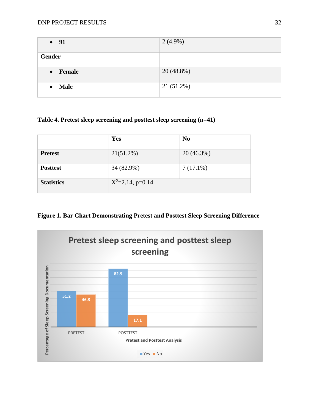| $\bullet$ 91             | $2(4.9\%)$   |
|--------------------------|--------------|
| Gender                   |              |
| • Female                 | $20(48.8\%)$ |
| <b>Male</b><br>$\bullet$ | 21 (51.2%)   |

### **Table 4. Pretest sleep screening and posttest sleep screening (n=41)**

|                   | Yes                   | N <sub>0</sub> |  |
|-------------------|-----------------------|----------------|--|
| <b>Pretest</b>    | 21(51.2%)             | $20(46.3\%)$   |  |
| <b>Posttest</b>   | 34 (82.9%)            | $7(17.1\%)$    |  |
| <b>Statistics</b> | $X^2 = 2.14$ , p=0.14 |                |  |

### **Figure 1. Bar Chart Demonstrating Pretest and Posttest Sleep Screening Difference**

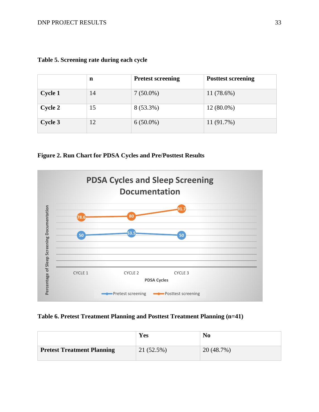|         | n  | <b>Pretest screening</b> | <b>Posttest screening</b> |
|---------|----|--------------------------|---------------------------|
| Cycle 1 | 14 | $7(50.0\%)$              | $11(78.6\%)$              |
| Cycle 2 | 15 | 8 (53.3%)                | $12(80.0\%)$              |
| Cycle 3 | 12 | $6(50.0\%)$              | $11(91.7\%)$              |

|  | Table 5. Screening rate during each cycle |  |  |
|--|-------------------------------------------|--|--|
|  |                                           |  |  |

**Figure 2. Run Chart for PDSA Cycles and Pre/Posttest Results** 



### **Table 6. Pretest Treatment Planning and Posttest Treatment Planning (n=41)**

|                                   | Yes          | No         |
|-----------------------------------|--------------|------------|
| <b>Pretest Treatment Planning</b> | $21(52.5\%)$ | 20 (48.7%) |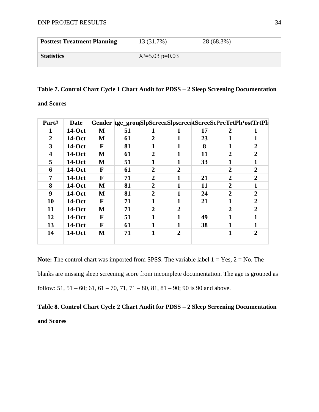| <b>Posttest Treatment Planning</b> | 13 (31.7%)          | 28 (68.3%) |
|------------------------------------|---------------------|------------|
| <b>Statistics</b>                  | $X^2 = 5.03$ p=0.03 |            |

#### **Table 7. Control Chart Cycle 1 Chart Audit for PDSS – 2 Sleep Screening Documentation**

**and Scores** 

| Part#                   | <b>Date</b>   |   | Gender \ge_grou SlpScreet SlpscreettScreeScPreTrtPlr'ostTrtPlr |                |                |    |                |                  |
|-------------------------|---------------|---|----------------------------------------------------------------|----------------|----------------|----|----------------|------------------|
| 1                       | $14-Oct$      | M | 51                                                             | 1              | 1              | 17 | 2              | 1                |
| $\overline{2}$          | $14-Oct$      | M | 61                                                             | $\overline{2}$ | 1              | 23 | 1              | 1                |
| 3                       | $14-Oct$      | F | 81                                                             | 1              | 1              | 8  | 1              | $\overline{2}$   |
| $\overline{\mathbf{4}}$ | $14-Oct$      | M | 61                                                             | 2              | 1              | 11 | $\overline{2}$ | $\boldsymbol{2}$ |
| 5                       | 14-Oct        | M | 51                                                             | 1              | 1              | 33 | 1              | 1                |
| 6                       | 14-Oct        | F | 61                                                             | $\overline{2}$ | $\overline{2}$ |    | $\overline{2}$ | $\overline{2}$   |
| 7                       | $14-Oct$      | F | 71                                                             | 2              | 1              | 21 | $\overline{2}$ | $\overline{2}$   |
| 8                       | 14-Oct        | M | 81                                                             | 2              | 1              | 11 | 2              | 1                |
| 9                       | 14-Oct        | M | 81                                                             | $\overline{2}$ | 1              | 24 | $\overline{2}$ | $\overline{2}$   |
| 10                      | $14-Oct$      | F | 71                                                             | 1              | 1              | 21 | 1              | $\overline{2}$   |
| 11                      | <b>14-Oct</b> | M | 71                                                             | $\overline{2}$ | $\overline{2}$ |    | $\overline{2}$ | $\overline{2}$   |
| 12                      | 14-Oct        | F | 51                                                             | 1              |                | 49 | 1              | $\mathbf{1}$     |
| 13                      | <b>14-Oct</b> | F | 61                                                             | 1              | 1              | 38 | 1              | 1                |
| 14                      | <b>14-Oct</b> | M | 71                                                             | 1              | $\overline{2}$ |    | 1              | $\overline{2}$   |
|                         |               |   |                                                                |                |                |    |                |                  |

**Note:** The control chart was imported from SPSS. The variable label  $1 = Yes, 2 = No$ . The blanks are missing sleep screening score from incomplete documentation. The age is grouped as follow:  $51, 51 - 60$ ;  $61, 61 - 70, 71, 71 - 80, 81, 81 - 90$ ;  $90$  is 90 and above.

**Table 8. Control Chart Cycle 2 Chart Audit for PDSS – 2 Sleep Screening Documentation and Scores**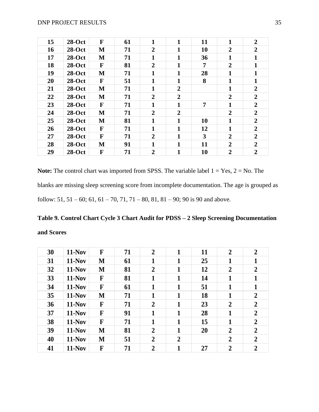| 15 | $28-Oct$ | F            | 61 | 1              | 1              | 11 | $\mathbf{1}$     | $\overline{2}$ |
|----|----------|--------------|----|----------------|----------------|----|------------------|----------------|
| 16 | $28-Oct$ | M            | 71 | $\overline{2}$ | 1              | 10 | $\boldsymbol{2}$ | $\overline{2}$ |
| 17 | $28-Oct$ | M            | 71 | 1              | 1              | 36 | 1                | 1              |
| 18 | $28-Oct$ | F            | 81 | $\overline{2}$ | 1              | 7  | $\boldsymbol{2}$ | 1              |
| 19 | $28-Oct$ | M            | 71 | 1              | 1              | 28 | 1                | 1              |
| 20 | $28-Oct$ | F            | 51 | $\mathbf{1}$   | $\mathbf{1}$   | 8  | $\mathbf{1}$     | 1              |
| 21 | $28-Oct$ | M            | 71 | 1              | $\overline{2}$ |    | 1                | $\overline{2}$ |
| 22 | $28-Oct$ | M            | 71 | $\overline{2}$ | $\overline{2}$ |    | $\boldsymbol{2}$ | $\overline{2}$ |
| 23 | $28-Oct$ | $\mathbf{F}$ | 71 | 1              | 1              | 7  | $\mathbf{1}$     | $\overline{2}$ |
| 24 | $28-Oct$ | M            | 71 | $\overline{2}$ | $\overline{2}$ |    | $\overline{2}$   | $\overline{2}$ |
| 25 | $28-Oct$ | M            | 81 | 1              | 1              | 10 | 1                | $\overline{2}$ |
| 26 | $28-Oct$ | F            | 71 | $\mathbf{1}$   | 1              | 12 | 1                | $\overline{2}$ |
| 27 | $28-Oct$ | F            | 71 | $\overline{2}$ | 1              | 3  | $\overline{2}$   | $\overline{2}$ |
| 28 | $28-Oct$ | M            | 91 | 1              | $\mathbf{1}$   | 11 | $\overline{2}$   | $\overline{2}$ |
| 29 | $28-Oct$ | F            | 71 | $\overline{2}$ | $\mathbf{1}$   | 10 | $\overline{2}$   | $\overline{2}$ |

**Note:** The control chart was imported from SPSS. The variable label  $1 = Yes$ ,  $2 = No$ . The blanks are missing sleep screening score from incomplete documentation. The age is grouped as follow: 51, 51 – 60; 61, 61 – 70, 71, 71 – 80, 81, 81 – 90; 90 is 90 and above.

# **Table 9. Control Chart Cycle 3 Chart Audit for PDSS – 2 Sleep Screening Documentation and Scores**

| 30 | $11-Nov$      | F | 71 | $\overline{2}$ | 1              | 11 | $\overline{2}$ | $\overline{2}$ |
|----|---------------|---|----|----------------|----------------|----|----------------|----------------|
| 31 | $11-Nov$      | M | 61 | 1              | 1              | 25 | 1              | 1              |
| 32 | $11-Nov$      | M | 81 | $\overline{2}$ | 1              | 12 | $\overline{2}$ | $\overline{2}$ |
| 33 | $11-Nov$      | F | 81 | 1              |                | 14 | 1              | 1              |
| 34 | $11-Nov$      | F | 61 | 1              | 1              | 51 | 1              | 1              |
| 35 | <b>11-Nov</b> | M | 71 | 1              | 1              | 18 | 1              | $\overline{2}$ |
| 36 | $11-Nov$      | F | 71 | $\overline{2}$ | 1              | 23 | $\overline{2}$ | $\overline{2}$ |
| 37 | $11-Nov$      | F | 91 | $\mathbf{1}$   | 1              | 28 | 1              | $\overline{2}$ |
| 38 | $11-Nov$      | F | 71 | $\mathbf{1}$   | 1              | 15 | $\mathbf{1}$   | $\overline{2}$ |
| 39 | $11-Nov$      | M | 81 | $\overline{2}$ | 1              | 20 | $\overline{2}$ | $\overline{2}$ |
| 40 | $11-Nov$      | M | 51 | $\overline{2}$ | $\overline{2}$ |    | $\overline{2}$ | $\overline{2}$ |
| 41 | <b>11-Nov</b> | F | 71 | $\overline{2}$ | 1              | 27 | $\overline{2}$ | $\overline{2}$ |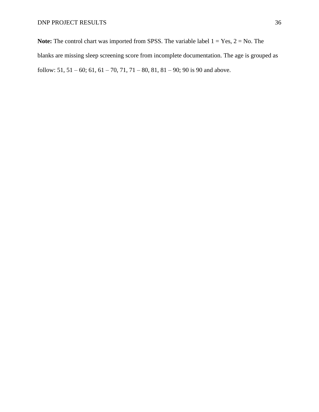**Note:** The control chart was imported from SPSS. The variable label  $1 = Yes$ ,  $2 = No$ . The blanks are missing sleep screening score from incomplete documentation. The age is grouped as follow:  $51, 51 - 60$ ;  $61, 61 - 70, 71, 71 - 80, 81, 81 - 90$ ;  $90$  is 90 and above.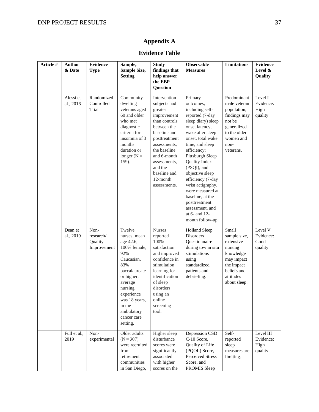# **Appendix A**

### **Evidence Table**

| Article # | <b>Author</b><br>& Date | <b>Evidence</b><br><b>Type</b>              | Sample,<br>Sample Size,<br><b>Setting</b>                                                                                                                                                                              | <b>Study</b><br>findings that<br>help answer<br>the EBP<br>Question                                                                                                                                                                           | <b>Observable</b><br><b>Measures</b>                                                                                                                                                                                                                                                                                                                                                                            | <b>Limitations</b>                                                                                                                    | <b>Evidence</b><br>Level &<br>Quality     |
|-----------|-------------------------|---------------------------------------------|------------------------------------------------------------------------------------------------------------------------------------------------------------------------------------------------------------------------|-----------------------------------------------------------------------------------------------------------------------------------------------------------------------------------------------------------------------------------------------|-----------------------------------------------------------------------------------------------------------------------------------------------------------------------------------------------------------------------------------------------------------------------------------------------------------------------------------------------------------------------------------------------------------------|---------------------------------------------------------------------------------------------------------------------------------------|-------------------------------------------|
|           | Alessi et<br>al., 2016  | Randomized<br>Controlled<br>Trial           | Community-<br>dwelling<br>veterans aged<br>60 and older<br>who met<br>diagnostic<br>criteria for<br>insomnia of 3<br>months<br>duration or<br>longer ( $N =$<br>159).                                                  | Intervention<br>subjects had<br>greater<br>improvement<br>than controls<br>between the<br>baseline and<br>posttreatment<br>assessments,<br>the baseline<br>and 6-month<br>assessments,<br>and the<br>baseline and<br>12-month<br>assessments. | Primary<br>outcomes,<br>including self-<br>reported (7-day<br>sleep diary) sleep<br>onset latency,<br>wake after sleep<br>onset, total wake<br>time, and sleep<br>efficiency;<br>Pittsburgh Sleep<br>Quality Index<br>(PSQI); and<br>objective sleep<br>efficiency (7-day<br>wrist actigraphy,<br>were measured at<br>baseline, at the<br>posttreatment<br>assessment, and<br>at 6- and 12-<br>month follow-up. | Predominant<br>male veteran<br>population,<br>findings may<br>not be<br>generalized<br>to the older<br>women and<br>non-<br>veterans. | Level I<br>Evidence:<br>High<br>quality   |
|           | Dean et<br>al., 2019    | Non-<br>research/<br>Quality<br>Improvement | Twelve<br>nurses, mean<br>age 42.6,<br>100% female,<br>92%<br>Caucasian,<br>83%<br>baccalaureate<br>or higher,<br>average<br>nursing<br>experience<br>was 18 years,<br>in the<br>ambulatory<br>cancer care<br>setting. | <b>Nurses</b><br>reported<br>100%<br>satisfaction<br>and improved<br>confidence in<br>stimulation<br>learning for<br>identification<br>of sleep<br>disorders<br>using an<br>online<br>screening<br>tool.                                      | <b>Holland Sleep</b><br>Disorders<br>Questionnaire<br>during tow in situ<br>stimulations<br>using<br>standardized<br>patients and<br>debriefing.                                                                                                                                                                                                                                                                | Small<br>sample size,<br>extensive<br>nursing<br>knowledge<br>may impact<br>the impact<br>beliefs and<br>attitudes<br>about sleep.    | Level V<br>Evidence:<br>Good<br>quality   |
|           | Full et al.,<br>2019    | Non-<br>experimental                        | Older adults<br>$(N = 307)$<br>were recruited<br>from<br>retirement<br>communities<br>in San Diego,                                                                                                                    | Higher sleep<br>disturbance<br>scores were<br>significantly<br>associated<br>with higher<br>scores on the                                                                                                                                     | Depression CSD<br>C-10 Score,<br>Quality of Life<br>(PQOL) Score,<br>Perceived Stress<br>Score, and<br>PROMIS Sleep                                                                                                                                                                                                                                                                                             | Self-<br>reported<br>sleep<br>measures are<br>limiting.                                                                               | Level III<br>Evidence:<br>High<br>quality |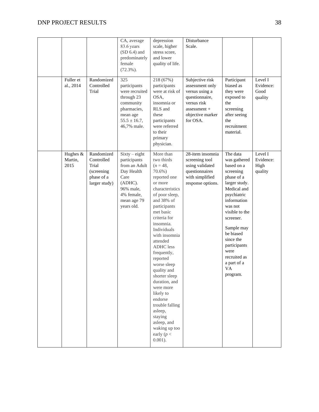|                             |                                                                                | CA, average<br>83.6 years<br>$(SD 6.4)$ and<br>predominately<br>female<br>$(72.3\%)$ .                                                    | depression<br>scale, higher<br>stress score,<br>and lower<br>quality of life.                                                                                                                                                                                                                                                                                                                                                                                                                       | Disturbance<br>Scale.                                                                                                                   |                                                                                                                                                                                                                                                                                            |                                         |
|-----------------------------|--------------------------------------------------------------------------------|-------------------------------------------------------------------------------------------------------------------------------------------|-----------------------------------------------------------------------------------------------------------------------------------------------------------------------------------------------------------------------------------------------------------------------------------------------------------------------------------------------------------------------------------------------------------------------------------------------------------------------------------------------------|-----------------------------------------------------------------------------------------------------------------------------------------|--------------------------------------------------------------------------------------------------------------------------------------------------------------------------------------------------------------------------------------------------------------------------------------------|-----------------------------------------|
| Fuller et<br>al., 2014      | Randomized<br>Controlled<br>Trial                                              | 325<br>participants<br>were recruited<br>through 23<br>community<br>pharmacies,<br>mean age<br>$55.5 \pm 16.7$ ,<br>46,7% male.           | 218 (67%)<br>participants<br>were at risk of<br>OSA,<br>insomnia or<br>RLS and<br>these<br>participants<br>were referred<br>to their<br>primary<br>physician.                                                                                                                                                                                                                                                                                                                                       | Subjective risk<br>assessment only<br>versus using a<br>questionnaire,<br>versus risk<br>$assessment +$<br>objective marker<br>for OSA. | Participant<br>biased as<br>they were<br>exposed to<br>the<br>screening<br>after seeing<br>the<br>recruitment<br>material.                                                                                                                                                                 | Level I<br>Evidence:<br>Good<br>quality |
| Hughes &<br>Martin,<br>2015 | Randomized<br>Controlled<br>Trial<br>(screening<br>phase of a<br>larger study) | $Sixty - eight$<br>participants<br>from an Adult<br>Day Health<br>Care<br>(ADHC).<br>96% male,<br>4% female,<br>mean age 79<br>years old. | More than<br>two thirds<br>$(n = 48,$<br>$70.6\%$ )<br>reported one<br>or more<br>characteristics<br>of poor sleep,<br>and 38% of<br>participants<br>met basic<br>criteria for<br>insomnia.<br>Individuals<br>with insomnia<br>attended<br><b>ADHC</b> less<br>frequently,<br>reported<br>worse sleep<br>quality and<br>shorter sleep<br>duration, and<br>were more<br>likely to<br>endorse<br>trouble falling<br>asleep,<br>staying<br>asleep, and<br>waking up too<br>early ( $p <$<br>$0.001$ ). | 28-item insomnia<br>screening tool<br>using validated<br>questionnaires<br>with simplified<br>response options.                         | The data<br>was gathered<br>based on a<br>screening<br>phase of a<br>larger study.<br>Medical and<br>psychiatric<br>information<br>was not<br>visible to the<br>screener.<br>Sample may<br>be biased<br>since the<br>participants<br>were<br>recruited as<br>a part of a<br>VA<br>program. | Level I<br>Evidence:<br>High<br>quality |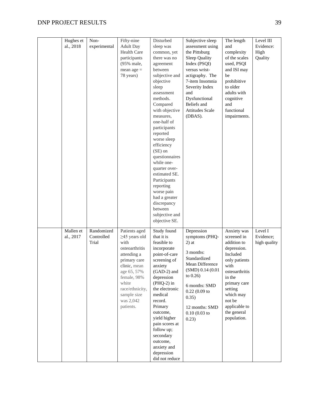| Hughes et              | Non-                              | Fifty-nine                                                                                                                                                                                                       | Disturbed                                                                                                                                                                                                                                                                                                                                                                                                                                                     | Subjective sleep                                                                                                                                                                                                        | The length                                                                                                                                                                                                                 | Level III                            |
|------------------------|-----------------------------------|------------------------------------------------------------------------------------------------------------------------------------------------------------------------------------------------------------------|---------------------------------------------------------------------------------------------------------------------------------------------------------------------------------------------------------------------------------------------------------------------------------------------------------------------------------------------------------------------------------------------------------------------------------------------------------------|-------------------------------------------------------------------------------------------------------------------------------------------------------------------------------------------------------------------------|----------------------------------------------------------------------------------------------------------------------------------------------------------------------------------------------------------------------------|--------------------------------------|
| al., 2018              | experimental                      | <b>Adult Day</b><br>Health Care<br>participants<br>(95% male,<br>mean $age =$<br>78 years)                                                                                                                       | sleep was<br>common, yet<br>there was no<br>agreement<br>between<br>subjective and<br>objective<br>sleep<br>assessment<br>methods.<br>Compared<br>with objective<br>measures,<br>one-half of<br>participants<br>reported<br>worse sleep<br>efficiency<br>$(SE)$ on<br>questionnaires<br>while one-<br>quarter over-<br>estimated SE.<br>Participants<br>reporting<br>worse pain<br>had a greater<br>discrepancy<br>between<br>subjective and<br>objective SE. | assessment using<br>the Pittsburg<br>Sleep Quality<br>Index (PSQI)<br>versus wrist-<br>actigraphy. The<br>7-item Insomnia<br>Severity Index<br>and<br>Dysfunctional<br>Beliefs and<br><b>Attitudes Scale</b><br>(DBAS). | and<br>complexity<br>of the scales<br>used, PSQI<br>and ISI may<br>be<br>prohibitive<br>to older<br>adults with<br>cognitive<br>and<br>functional<br>impairments.                                                          | Evidence:<br>High<br>Quality         |
| Mallen et<br>al., 2017 | Randomized<br>Controlled<br>Trial | Patients aged<br>$\geq$ 45 years old<br>with<br>osteoarthritis<br>attending a<br>primary care<br>clinic, mean<br>age 65, 57%<br>female, 98%<br>white<br>race/ethnicity,<br>sample size<br>was 2,042<br>patients. | Study found<br>that it is<br>feasible to<br>incorporate<br>point-of-care<br>screening of<br>anxiety<br>$(GAD-2)$ and<br>depression<br>$(PHQ-2)$ in<br>the electronic<br>medical<br>record.<br>Primary<br>outcome,<br>yield higher<br>pain scores at<br>follow up;<br>secondary<br>outcome,<br>anxiety and<br>depression<br>did not reduce                                                                                                                     | Depression<br>symptoms (PHQ-<br>$2)$ at<br>3 months:<br>Standardized<br>Mean Difference<br>(SMD) 0.14 (0.01<br>to $0.26$<br>6 months: SMD<br>$0.22$ (0.09 to<br>0.35)<br>12 months: SMD<br>$0.10(0.03)$ to<br>0.23)     | Anxiety was<br>screened in<br>addition to<br>depression.<br>Included<br>only patients<br>with<br>osteoarthritis<br>in the<br>primary care<br>setting<br>which may<br>not be<br>applicable to<br>the general<br>population. | Level I<br>Evidence;<br>high quality |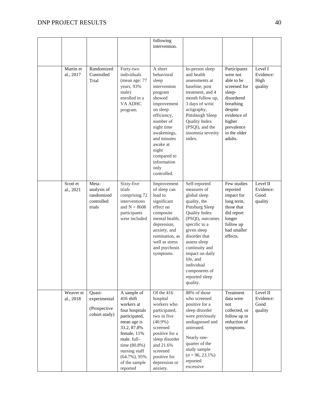|                        |                                                            |                                                                                                                                                                                                                         | following<br>intervention.                                                                                                                                                                                                                       |                                                                                                                                                                                                                                                                                                      |                                                                                                                                                                          |                                          |
|------------------------|------------------------------------------------------------|-------------------------------------------------------------------------------------------------------------------------------------------------------------------------------------------------------------------------|--------------------------------------------------------------------------------------------------------------------------------------------------------------------------------------------------------------------------------------------------|------------------------------------------------------------------------------------------------------------------------------------------------------------------------------------------------------------------------------------------------------------------------------------------------------|--------------------------------------------------------------------------------------------------------------------------------------------------------------------------|------------------------------------------|
| Martin et<br>al., 2017 | Randomized<br>Controlled<br>Trial                          | Forty-two<br>individuals<br>(mean age: 77<br>years, 93%<br>male)<br>enrolled in a<br>VA ADHC<br>program.                                                                                                                | A short<br>behavioral<br>sleep<br>intervention<br>program<br>showed<br>improvement<br>on sleep<br>efficiency,<br>number of<br>night time<br>awakenings,<br>and minutes<br>awake at<br>night<br>compared to<br>information<br>only<br>controlled. | In-person sleep<br>and health<br>assessments at<br>baseline, post<br>treatment, and 4<br>month follow up,<br>3 days of wrist<br>actigraphy,<br>Pittsburgh Sleep<br>Quality Index<br>(PSQI), and the<br>insomnia severity<br>index.                                                                   | Participants<br>were not<br>able to be<br>screened for<br>sleep-<br>disordered<br>breathing<br>despite<br>evidence of<br>higher<br>prevalence<br>in the older<br>adults. | Level I<br>Evidence:<br>High<br>quality  |
| Scott et<br>al., 2021  | Meta-<br>analysis of<br>randomized<br>controlled<br>trials | Sixty-five<br>trials<br>comprising 72<br>interventions<br>and $N = 8608$<br>participants<br>were included                                                                                                               | Improvement<br>of sleep can<br>lead to<br>significant<br>effect on<br>composite<br>mental health,<br>depression,<br>anxiety, and<br>rumination, as<br>well as stress<br>and psychosis<br>symptoms.                                               | Self-reported<br>measures of<br>global sleep<br>quality, the<br>Pittsburg Sleep<br>Quality Index<br>(PSQI), outcomes<br>specific to a<br>given sleep<br>disorder that<br>assess sleep<br>continuity and<br>impact on daily<br>life, and<br>individual<br>components of<br>reported sleep<br>quality. | Few studies<br>reported<br>impact for<br>long term,<br>those that<br>did report<br>longer<br>follow up<br>had smaller<br>effects.                                        | Level II<br>Evidence:<br>Good<br>quality |
| Weaver et<br>al., 2018 | Quasi-<br>experimental<br>(Prospective<br>cohort study)    | A sample of<br>416 shift<br>workers at<br>four hospitals<br>participated,<br>mean age is<br>33.2, 87.8%<br>female, 11%<br>male. full-<br>time (80.8%)<br>nursing staff<br>$(64.7\%)$ , 95%<br>of the sample<br>reported | Of the 416<br>hospital<br>workers who<br>participated,<br>two in five<br>$(40.9\%)$<br>screened<br>positive for a<br>sleep disorder<br>and 21.6%<br>screened<br>positive for<br>depression or<br>anxiety.                                        | 88% of those<br>who screened<br>positive for a<br>sleep disorder<br>were previously<br>undiagnosed and<br>untreated.<br>Nearly one-<br>quarter of the<br>study sample<br>$(n = 96, 23.1\%)$<br>reported<br>excessive                                                                                 | Treatment<br>data were<br>not<br>collected, or<br>follow up in<br>reduction of<br>symptoms.                                                                              | Level II<br>Evidence:<br>Good<br>quality |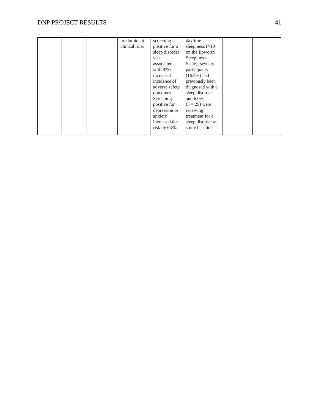### DNP PROJECT RESULTS 41

|  | predominant<br>clinical role. | screening<br>positive for a | daytime<br>sleepiness $(>10$ |  |
|--|-------------------------------|-----------------------------|------------------------------|--|
|  |                               | sleep disorder              | on the Epworth               |  |
|  |                               | was                         | Sleepiness                   |  |
|  |                               | associated                  | Scale); seventy              |  |
|  |                               | with $83\%$                 | participants                 |  |
|  |                               | increased                   | $(16.8\%)$ had               |  |
|  |                               | incidence of                | previously been              |  |
|  |                               | adverse safety              | diagnosed with a             |  |
|  |                               | outcomes.                   | sleep disorder               |  |
|  |                               | Screening                   | and $6.0\%$                  |  |
|  |                               | positive for                | $(n=25)$ were                |  |
|  |                               | depression or               | receiving                    |  |
|  |                               | anxiety                     | treatment for a              |  |
|  |                               | increased the               | sleep disorder at            |  |
|  |                               | risk by $63\%$ .            | study baseline.              |  |
|  |                               |                             |                              |  |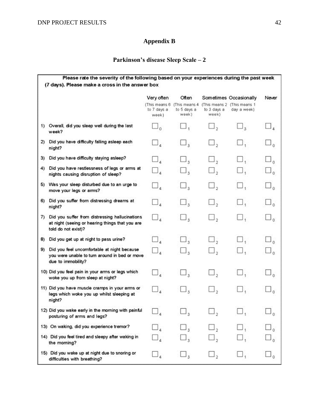# **Appendix B**

### **Parkinson's disease Sleep Scale – 2**

|     | Please rate the severity of the following based on your experiences during the past week<br>(7 days). Please make a cross in the answer box |                                                      |                                                |                                  |                                                                      |                                   |
|-----|---------------------------------------------------------------------------------------------------------------------------------------------|------------------------------------------------------|------------------------------------------------|----------------------------------|----------------------------------------------------------------------|-----------------------------------|
|     |                                                                                                                                             | Very often<br>(This means 6)<br>to 7 days a<br>week) | Often<br>(This means 4<br>to 5 days a<br>week) | to 3 days a<br>week)             | Sometimes Occasionally<br>(This means 2 (This means 1<br>day a week) | Never                             |
|     | 1) Overall, did you sleep well during the last<br>week?                                                                                     | $\Box_n$                                             |                                                | $\square$ ,                      | $\Box_{\tiny{2}}$                                                    |                                   |
| 2)  | Did you have difficulty falling asleep each<br>night?                                                                                       | $\Box_{\tt a}$                                       | $\Box_3$                                       | $\square_{\scriptscriptstyle 2}$ | □,                                                                   |                                   |
| 3)  | Did you have difficulty staying asleep?                                                                                                     | $\sqcup$ ,                                           | $\Box$                                         | $\square$ ,                      | $\sqcup$ .                                                           |                                   |
| 4)  | Did you have restlessness of legs or arms at<br>nights causing disruption of sleep?                                                         | $\Box_{\mathbf{z}}$                                  | $\Box$                                         | $\sqcup$ ,                       | □,                                                                   | $\sqcup_{\,\mathsf n}$            |
|     | 5) Was your sleep disturbed due to an urge to<br>move your legs or arms?                                                                    | $\Box_s$                                             | $\Box_3$                                       | $\Box$ ,                         | $\Box$ ,                                                             | $\square_{\mathfrak{g}}$          |
| 6)  | Did you suffer from distressing dreams at<br>night?                                                                                         | $\Box$                                               | $\Box$ <sub>3</sub>                            | $\square$ ,                      | $\square$ ,                                                          | $\square_{\scriptscriptstyle{0}}$ |
| 7). | Did you suffer from distressing hallucinations<br>at night (seeing or hearing things that you are<br>told do not exist)?                    | <u>،</u> اـــا                                       | $\Box_3$                                       | LJ,                              | $\sqcup$ ,                                                           |                                   |
| 8)  | Did you get up at night to pass urine?                                                                                                      | $\Box$                                               | $\square_{\mathfrak{Z}}$                       | $\square$ ,                      | $\square$ .                                                          | $\square_{\scriptscriptstyle 0}$  |
| 9)  | Did you feel uncomfortable at night because<br>you were unable to turn around in bed or move<br>due to immobility?                          | $\Box_{\scriptscriptstyle{4}}$                       | چ لسا                                          | ه لسا                            | $\sqcup$ ,                                                           | $\square_{\mathfrak{a}}$          |
|     | 10) Did you feel pain in your arms or legs which<br>woke you up from sleep at night?                                                        | $\square_{\tt_4}$                                    | $\Box$ <sub>3</sub>                            | $\sqcup$ ,                       | Ш,                                                                   |                                   |
|     | 11) Did you have muscle cramps in your arms or<br>legs which woke you up whilst sleeping at<br>night?                                       | $\Box_{\tt a}$                                       | $\Box_3$                                       | $\square_{2}$                    | □,                                                                   |                                   |
|     | 12) Did you wake early in the morning with painful<br>posturing of arms and legs?                                                           |                                                      |                                                |                                  |                                                                      |                                   |
|     | 13) On waking, did you experience tremor?                                                                                                   |                                                      | $\sqcup_{\alpha}$                              |                                  |                                                                      |                                   |
|     | 14) Did you feel tired and sleepy after waking in<br>the morning?                                                                           |                                                      | $\sqcup_{\mathfrak{z}}$                        |                                  |                                                                      |                                   |
|     | 15) Did you wake up at night due to snoring or<br>difficulties with breathing?                                                              |                                                      | $\sqcup_3$                                     |                                  |                                                                      |                                   |